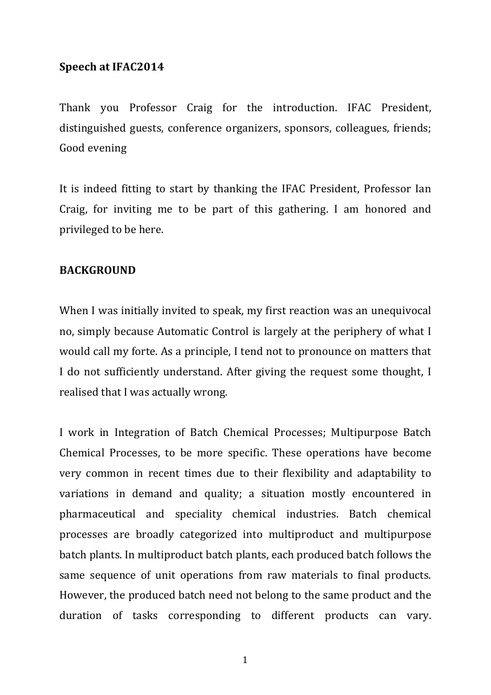# Speech at IFAC2014

Thank you Professor Craig for the introduction. IFAC President, distinguished guests, conference organizers, sponsors, colleagues, friends; Good evening

It is indeed fitting to start by thanking the IFAC President, Professor Ian Craig, for inviting me to be part of this gathering. I am honored and privileged to be here.

# **BACKGROUND**

When I was initially invited to speak, my first reaction was an unequivocal no, simply because Automatic Control is largely at the periphery of what I would call my forte. As a principle, I tend not to pronounce on matters that I do not sufficiently understand. After giving the request some thought, I realised that I was actually wrong.

I work in Integration of Batch Chemical Processes; Multipurpose Batch Chemical Processes, to be more specific. These operations have become very common in recent times due to their flexibility and adaptability to variations in demand and quality; a situation mostly encountered in pharmaceutical and speciality chemical industries. Batch chemical processes are broadly categorized into multiproduct and multipurpose batch plants. In multiproduct batch plants, each produced batch follows the same sequence of unit operations from raw materials to final products. However, the produced batch need not belong to the same product and the duration of tasks corresponding to different products can vary.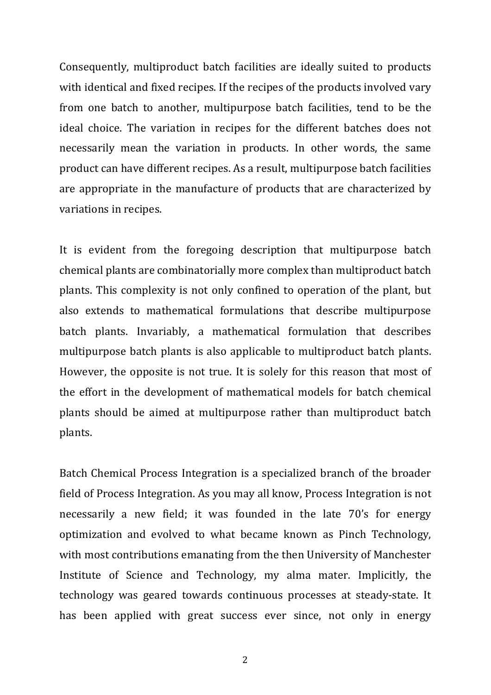Consequently, multiproduct batch facilities are ideally suited to products with identical and fixed recipes. If the recipes of the products involved vary from one batch to another, multipurpose batch facilities, tend to be the ideal choice. The variation in recipes for the different batches does not necessarily mean the variation in products. In other words, the same product can have different recipes. As a result, multipurpose batch facilities are appropriate in the manufacture of products that are characterized by variations in recipes.

It is evident from the foregoing description that multipurpose batch chemical plants are combinatorially more complex than multiproduct batch plants. This complexity is not only confined to operation of the plant, but also extends to mathematical formulations that describe multipurpose batch plants. Invariably, a mathematical formulation that describes multipurpose batch plants is also applicable to multiproduct batch plants. However, the opposite is not true. It is solely for this reason that most of the effort in the development of mathematical models for batch chemical plants should be aimed at multipurpose rather than multiproduct batch plants.

Batch Chemical Process Integration is a specialized branch of the broader field of Process Integration. As you may all know, Process Integration is not necessarily a new field; it was founded in the late 70's for energy optimization and evolved to what became known as Pinch Technology, with most contributions emanating from the then University of Manchester Institute of Science and Technology, my alma mater. Implicitly, the technology was geared towards continuous processes at steady-state. It has been applied with great success ever since, not only in energy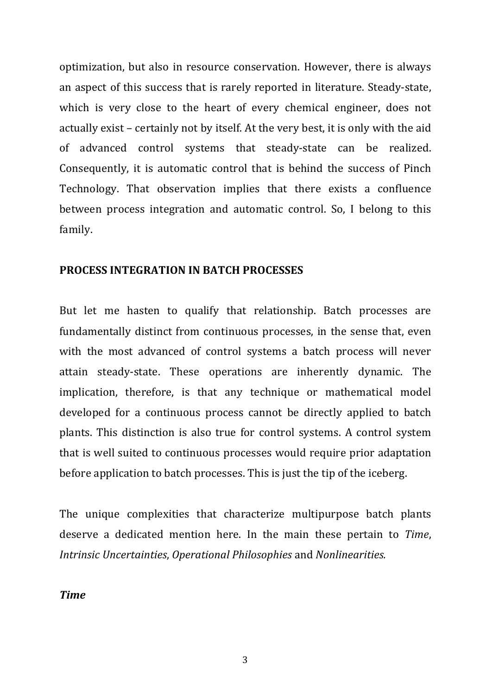optimization, but also in resource conservation. However, there is always an aspect of this success that is rarely reported in literature. Steady-state, which is very close to the heart of every chemical engineer, does not actually exist – certainly not by itself. At the very best, it is only with the aid of advanced control systems that steady-state can be realized. Consequently, it is automatic control that is behind the success of Pinch Technology. That observation implies that there exists a confluence between process integration and automatic control. So, I belong to this family.

## **PROCESS INTEGRATION IN BATCH PROCESSES**

But let me hasten to qualify that relationship. Batch processes are fundamentally distinct from continuous processes, in the sense that, even with the most advanced of control systems a batch process will never attain steady-state. These operations are inherently dynamic. The implication, therefore, is that any technique or mathematical model developed for a continuous process cannot be directly applied to batch plants. This distinction is also true for control systems. A control system that is well suited to continuous processes would require prior adaptation before application to batch processes. This is just the tip of the iceberg.

The unique complexities that characterize multipurpose batch plants deserve a dedicated mention here. In the main these pertain to *Time*, *Intrinsic Uncertainties, Operational Philosophies and Nonlinearities.* 

*Time*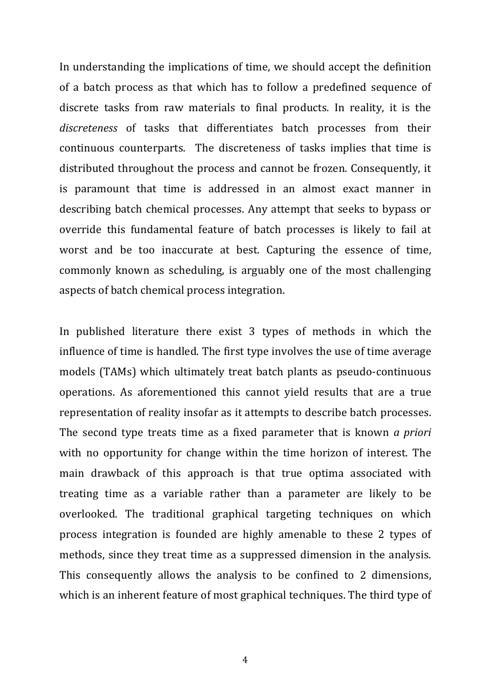In understanding the implications of time, we should accept the definition of a batch process as that which has to follow a predefined sequence of discrete tasks from raw materials to final products. In reality, it is the discreteness of tasks that differentiates batch processes from their continuous counterparts. The discreteness of tasks implies that time is distributed throughout the process and cannot be frozen. Consequently, it is paramount that time is addressed in an almost exact manner in describing batch chemical processes. Any attempt that seeks to bypass or override this fundamental feature of batch processes is likely to fail at worst and be too inaccurate at best. Capturing the essence of time, commonly known as scheduling, is arguably one of the most challenging aspects of batch chemical process integration.

In published literature there exist 3 types of methods in which the influence of time is handled. The first type involves the use of time average models (TAMs) which ultimately treat batch plants as pseudo-continuous operations. As aforementioned this cannot yield results that are a true representation of reality insofar as it attempts to describe batch processes. The second type treats time as a fixed parameter that is known *a priori* with no opportunity for change within the time horizon of interest. The main drawback of this approach is that true optima associated with treating time as a variable rather than a parameter are likely to be overlooked. The traditional graphical targeting techniques on which process integration is founded are highly amenable to these 2 types of methods, since they treat time as a suppressed dimension in the analysis. This consequently allows the analysis to be confined to 2 dimensions, which is an inherent feature of most graphical techniques. The third type of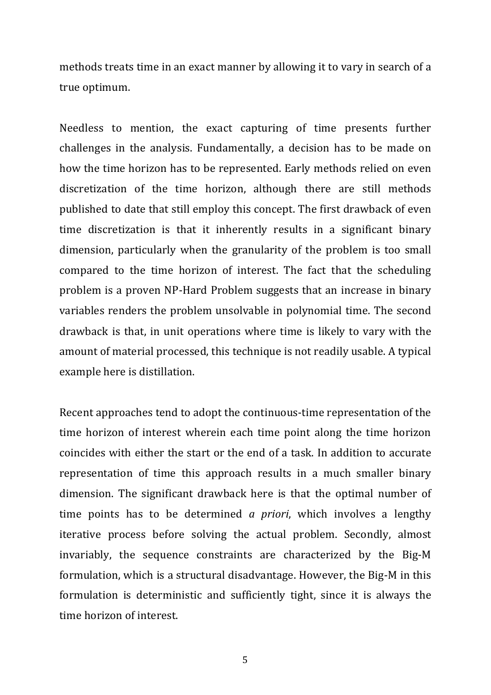methods treats time in an exact manner by allowing it to vary in search of a true optimum.

Needless to mention, the exact capturing of time presents further challenges in the analysis. Fundamentally, a decision has to be made on how the time horizon has to be represented. Early methods relied on even discretization of the time horizon, although there are still methods published to date that still employ this concept. The first drawback of even time discretization is that it inherently results in a significant binary dimension, particularly when the granularity of the problem is too small compared to the time horizon of interest. The fact that the scheduling problem is a proven NP-Hard Problem suggests that an increase in binary variables renders the problem unsolvable in polynomial time. The second drawback is that, in unit operations where time is likely to vary with the amount of material processed, this technique is not readily usable. A typical example here is distillation.

Recent approaches tend to adopt the continuous-time representation of the time horizon of interest wherein each time point along the time horizon coincides with either the start or the end of a task. In addition to accurate representation of time this approach results in a much smaller binary dimension. The significant drawback here is that the optimal number of time points has to be determined *a priori*, which involves a lengthy iterative process before solving the actual problem. Secondly, almost invariably, the sequence constraints are characterized by the Big-M formulation, which is a structural disadvantage. However, the Big-M in this formulation is deterministic and sufficiently tight, since it is always the time horizon of interest.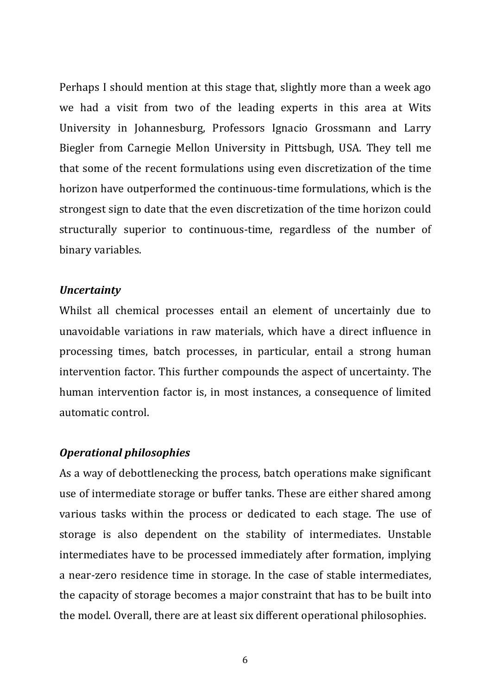Perhaps I should mention at this stage that, slightly more than a week ago we had a visit from two of the leading experts in this area at Wits University in Johannesburg, Professors Ignacio Grossmann and Larry Biegler from Carnegie Mellon University in Pittsbugh, USA. They tell me that some of the recent formulations using even discretization of the time horizon have outperformed the continuous-time formulations, which is the strongest sign to date that the even discretization of the time horizon could structurally superior to continuous-time, regardless of the number of binary variables.

### *Uncertainty*

Whilst all chemical processes entail an element of uncertainly due to unavoidable variations in raw materials, which have a direct influence in processing times, batch processes, in particular, entail a strong human intervention factor. This further compounds the aspect of uncertainty. The human intervention factor is, in most instances, a consequence of limited automatic control.

### *Operational philosophies*

As a way of debottlenecking the process, batch operations make significant use of intermediate storage or buffer tanks. These are either shared among various tasks within the process or dedicated to each stage. The use of storage is also dependent on the stability of intermediates. Unstable intermediates have to be processed immediately after formation, implying a near-zero residence time in storage. In the case of stable intermediates, the capacity of storage becomes a major constraint that has to be built into the model. Overall, there are at least six different operational philosophies.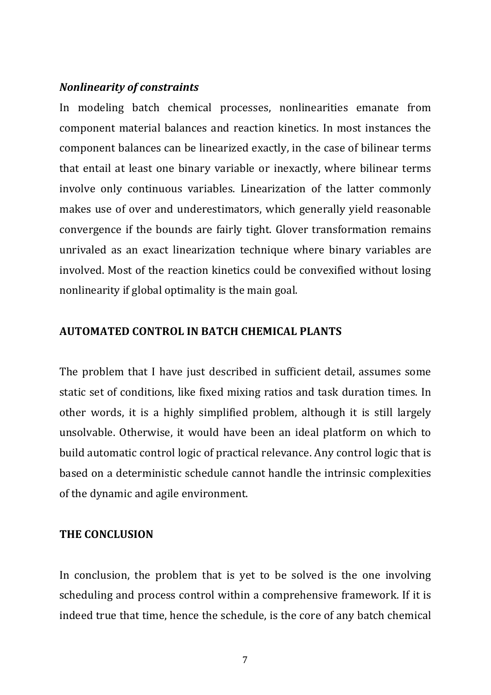## *Nonlinearity of constraints*

In modeling batch chemical processes, nonlinearities emanate from component material balances and reaction kinetics. In most instances the component balances can be linearized exactly, in the case of bilinear terms that entail at least one binary variable or inexactly, where bilinear terms involve only continuous variables. Linearization of the latter commonly makes use of over and underestimators, which generally yield reasonable convergence if the bounds are fairly tight. Glover transformation remains unrivaled as an exact linearization technique where binary variables are involved. Most of the reaction kinetics could be convexified without losing nonlinearity if global optimality is the main goal.

### **AUTOMATED CONTROL IN BATCH CHEMICAL PLANTS**

The problem that I have just described in sufficient detail, assumes some static set of conditions, like fixed mixing ratios and task duration times. In other words, it is a highly simplified problem, although it is still largely unsolvable. Otherwise, it would have been an ideal platform on which to build automatic control logic of practical relevance. Any control logic that is based on a deterministic schedule cannot handle the intrinsic complexities of the dynamic and agile environment.

#### **THE CONCLUSION**

In conclusion, the problem that is yet to be solved is the one involving scheduling and process control within a comprehensive framework. If it is indeed true that time, hence the schedule, is the core of any batch chemical